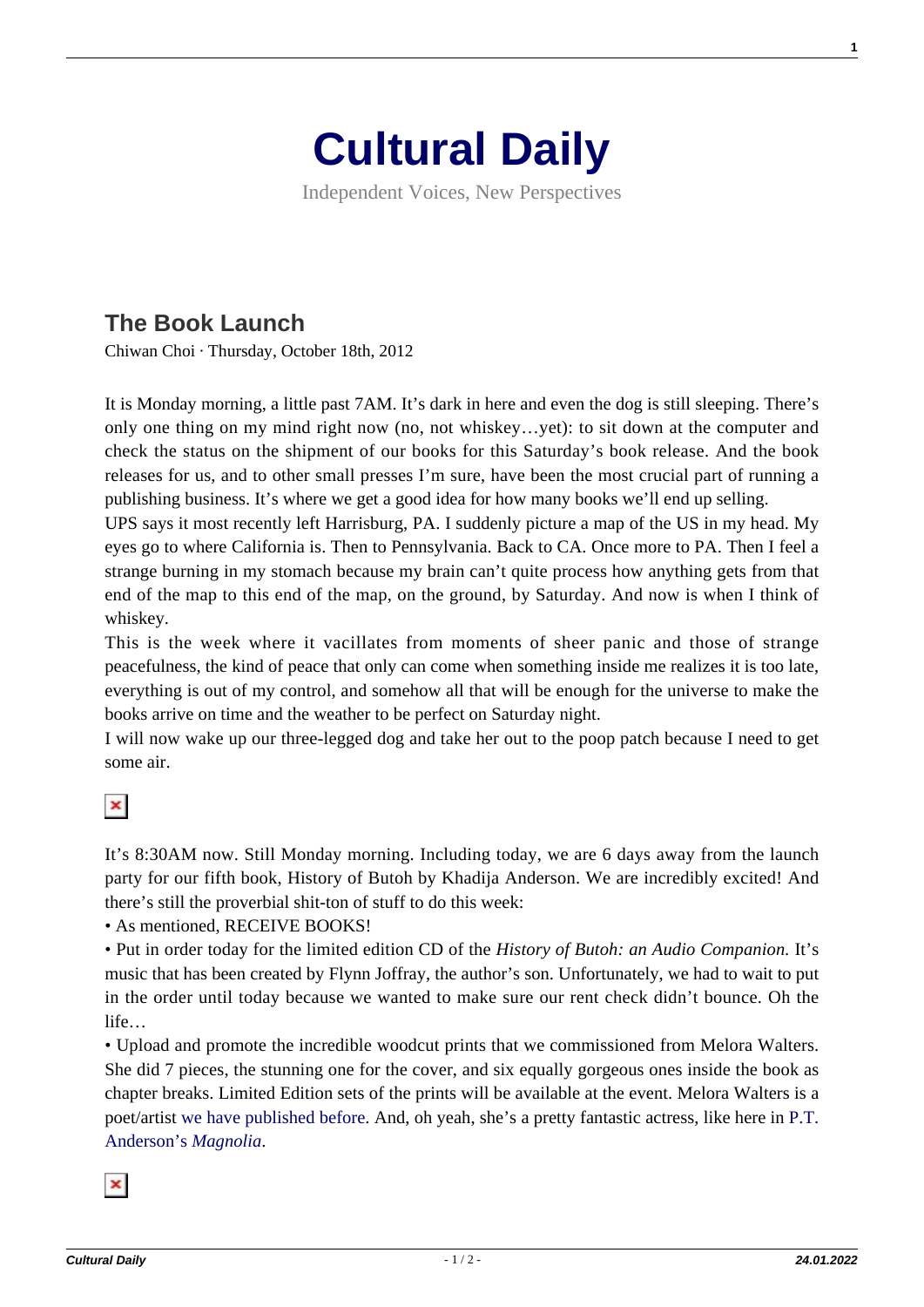## **[Cultural Daily](https://culturaldaily.com/)**

Independent Voices, New Perspectives

## **[The Book Launch](https://culturaldaily.com/the-book-launch/)**

Chiwan Choi · Thursday, October 18th, 2012

It is Monday morning, a little past 7AM. It's dark in here and even the dog is still sleeping. There's only one thing on my mind right now (no, not whiskey…yet): to sit down at the computer and check the status on the shipment of our books for this Saturday's book release. And the book releases for us, and to other small presses I'm sure, have been the most crucial part of running a publishing business. It's where we get a good idea for how many books we'll end up selling.

UPS says it most recently left Harrisburg, PA. I suddenly picture a map of the US in my head. My eyes go to where California is. Then to Pennsylvania. Back to CA. Once more to PA. Then I feel a strange burning in my stomach because my brain can't quite process how anything gets from that end of the map to this end of the map, on the ground, by Saturday. And now is when I think of whiskey.

This is the week where it vacillates from moments of sheer panic and those of strange peacefulness, the kind of peace that only can come when something inside me realizes it is too late, everything is out of my control, and somehow all that will be enough for the universe to make the books arrive on time and the weather to be perfect on Saturday night.

I will now wake up our three-legged dog and take her out to the poop patch because I need to get some air.

## $|\mathbf{x}|$

It's 8:30AM now. Still Monday morning. Including today, we are 6 days away from the launch party for our fifth book, History of Butoh by Khadija Anderson. We are incredibly excited! And there's still the proverbial shit-ton of stuff to do this week:

• As mentioned, RECEIVE BOOKS!

• Put in order today for the limited edition CD of the *History of Butoh: an Audio Companion.* It's music that has been created by Flynn Joffray, the author's son. Unfortunately, we had to wait to put in the order until today because we wanted to make sure our rent check didn't bounce. Oh the life…

• Upload and promote the incredible woodcut prints that we commissioned from Melora Walters. She did 7 pieces, the stunning one for the cover, and six equally gorgeous ones inside the book as chapter breaks. Limited Edition sets of the prints will be available at the event. Melora Walters is a poet/artist [we have published before](http://writlargepress.com/shop/#walters). And, oh yeah, she's a pretty fantastic actress, like here in [P.T.](http://www.youtube.com/watch?v=KsdY8QOBDTchttp://) [Anderson's](http://www.youtube.com/watch?v=KsdY8QOBDTchttp://) *[Magnolia](http://www.youtube.com/watch?v=KsdY8QOBDTchttp://)*.



**1**